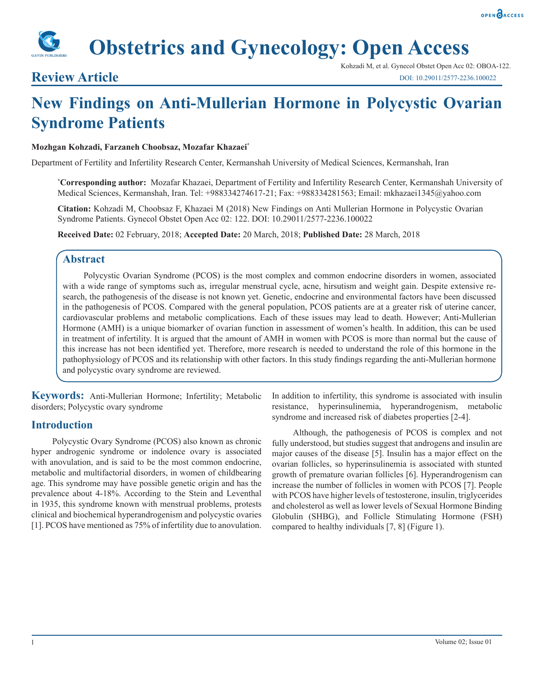

# **Review Article**

Kohzadi M, et al. Gynecol Obstet Open Acc 02: OBOA-122. DOI: 10.29011/2577-2236.100022

# **New Findings on Anti-Mullerian Hormone in Polycystic Ovarian Syndrome Patients**

### **Mozhgan Kohzadi, Farzaneh Choobsaz, Mozafar Khazaei\***

Department of Fertility and Infertility Research Center, Kermanshah University of Medical Sciences, Kermanshah, Iran

**\* Corresponding author:** Mozafar Khazaei, Department of Fertility and Infertility Research Center, Kermanshah University of Medical Sciences, Kermanshah, Iran. Tel: +988334274617-21; Fax: +988334281563; Email: mkhazaei1345@yahoo.com

**Citation:** Kohzadi M, Choobsaz F, Khazaei M (2018) New Findings on Anti Mullerian Hormone in Polycystic Ovarian Syndrome Patients. Gynecol Obstet Open Acc 02: 122. DOI: 10.29011/2577-2236.100022

**Received Date:** 02 February, 2018; **Accepted Date:** 20 March, 2018; **Published Date:** 28 March, 2018

## **Abstract**

Polycystic Ovarian Syndrome (PCOS) is the most complex and common endocrine disorders in women, associated with a wide range of symptoms such as, irregular menstrual cycle, acne, hirsutism and weight gain. Despite extensive research, the pathogenesis of the disease is not known yet. Genetic, endocrine and environmental factors have been discussed in the pathogenesis of PCOS. Compared with the general population, PCOS patients are at a greater risk of uterine cancer, cardiovascular problems and metabolic complications. Each of these issues may lead to death. However; Anti-Mullerian Hormone (AMH) is a unique biomarker of ovarian function in assessment of women's health. In addition, this can be used in treatment of infertility. It is argued that the amount of AMH in women with PCOS is more than normal but the cause of this increase has not been identified yet. Therefore, more research is needed to understand the role of this hormone in the pathophysiology of PCOS and its relationship with other factors. In this study findings regarding the anti-Mullerian hormone and polycystic ovary syndrome are reviewed.

**Keywords:** Anti-Mullerian Hormone; Infertility; Metabolic disorders; Polycystic ovary syndrome

# **Introduction**

Polycystic Ovary Syndrome (PCOS) also known as chronic hyper androgenic syndrome or indolence ovary is associated with anovulation, and is said to be the most common endocrine, metabolic and multifactorial disorders, in women of childbearing age. This syndrome may have possible genetic origin and has the prevalence about 4-18%. According to the Stein and Leventhal in 1935, this syndrome known with menstrual problems, protests clinical and biochemical hyperandrogenism and polycystic ovaries [1]. PCOS have mentioned as 75% of infertility due to anovulation.

In addition to infertility, this syndrome is associated with insulin resistance, hyperinsulinemia, hyperandrogenism, metabolic syndrome and increased risk of diabetes properties [2-4].

Although, the pathogenesis of PCOS is complex and not fully understood, but studies suggest that androgens and insulin are major causes of the disease [5]. Insulin has a major effect on the ovarian follicles, so hyperinsulinemia is associated with stunted growth of premature ovarian follicles [6]. Hyperandrogenism can increase the number of follicles in women with PCOS [7]. People with PCOS have higher levels of testosterone, insulin, triglycerides and cholesterol as well as lower levels of Sexual Hormone Binding Globulin (SHBG), and Follicle Stimulating Hormone (FSH) compared to healthy individuals [7, 8] (Figure 1).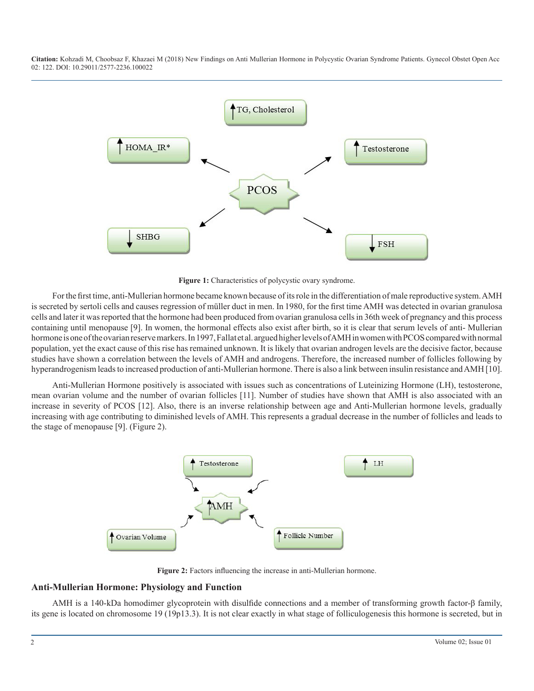

**Figure 1:** Characteristics of polycystic ovary syndrome.

For the first time, anti-Mullerian hormone became known because of its role in the differentiation of male reproductive system. AMH is secreted by sertoli cells and causes regression of müller duct in men. In 1980, for the first time AMH was detected in ovarian granulosa cells and later it was reported that the hormone had been produced from ovarian granulosa cells in 36th week of pregnancy and this process containing until menopause [9]. In women, the hormonal effects also exist after birth, so it is clear that serum levels of anti- Mullerian hormone is one of the ovarian reserve markers. In 1997, Fallat et al. argued higher levels of AMH in women with PCOS compared with normal population, yet the exact cause of this rise has remained unknown. It is likely that ovarian androgen levels are the decisive factor, because studies have shown a correlation between the levels of AMH and androgens. Therefore, the increased number of follicles following by hyperandrogenism leads to increased production of anti-Mullerian hormone. There is also a link between insulin resistance and AMH [10].

Anti-Mullerian Hormone positively is associated with issues such as concentrations of Luteinizing Hormone (LH), testosterone, mean ovarian volume and the number of ovarian follicles [11]. Number of studies have shown that AMH is also associated with an increase in severity of PCOS [12]. Also, there is an inverse relationship between age and Anti-Mullerian hormone levels, gradually increasing with age contributing to diminished levels of AMH. This represents a gradual decrease in the number of follicles and leads to the stage of menopause [9]. (Figure 2).



**Figure 2:** Factors influencing the increase in anti-Mullerian hormone.

#### **Anti-Mullerian Hormone: Physiology and Function**

AMH is a 140-kDa homodimer glycoprotein with disulfide connections and a member of transforming growth factor-β family, its gene is located on chromosome 19 (19p13.3). It is not clear exactly in what stage of folliculogenesis this hormone is secreted, but in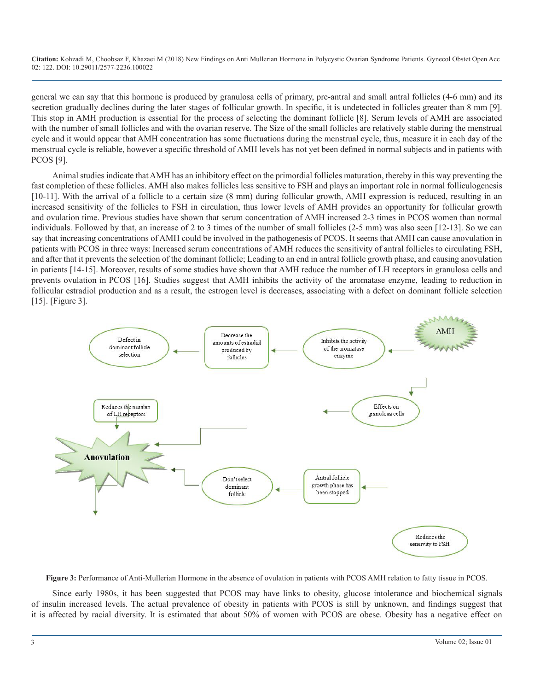general we can say that this hormone is produced by granulosa cells of primary, pre-antral and small antral follicles (4-6 mm) and its secretion gradually declines during the later stages of follicular growth. In specific, it is undetected in follicles greater than 8 mm [9]. This stop in AMH production is essential for the process of selecting the dominant follicle [8]. Serum levels of AMH are associated with the number of small follicles and with the ovarian reserve. The Size of the small follicles are relatively stable during the menstrual cycle and it would appear that AMH concentration has some fluctuations during the menstrual cycle, thus, measure it in each day of the menstrual cycle is reliable, however a specific threshold of AMH levels has not yet been defined in normal subjects and in patients with PCOS [9].

Animal studies indicate that AMH has an inhibitory effect on the primordial follicles maturation, thereby in this way preventing the fast completion of these follicles. AMH also makes follicles less sensitive to FSH and plays an important role in normal folliculogenesis [10-11]. With the arrival of a follicle to a certain size (8 mm) during follicular growth, AMH expression is reduced, resulting in an increased sensitivity of the follicles to FSH in circulation, thus lower levels of AMH provides an opportunity for follicular growth and ovulation time. Previous studies have shown that serum concentration of AMH increased 2-3 times in PCOS women than normal individuals. Followed by that, an increase of 2 to 3 times of the number of small follicles (2-5 mm) was also seen [12-13]. So we can say that increasing concentrations of AMH could be involved in the pathogenesis of PCOS. It seems that AMH can cause anovulation in patients with PCOS in three ways: Increased serum concentrations of AMH reduces the sensitivity of antral follicles to circulating FSH, and after that it prevents the selection of the dominant follicle; Leading to an end in antral follicle growth phase, and causing anovulation in patients [14-15]. Moreover, results of some studies have shown that AMH reduce the number of LH receptors in granulosa cells and prevents ovulation in PCOS [16]. Studies suggest that AMH inhibits the activity of the aromatase enzyme, leading to reduction in follicular estradiol production and as a result, the estrogen level is decreases, associating with a defect on dominant follicle selection [15]. [Figure 3].



**Figure 3:** Performance of Anti-Mullerian Hormone in the absence of ovulation in patients with PCOS AMH relation to fatty tissue in PCOS.

Since early 1980s, it has been suggested that PCOS may have links to obesity, glucose intolerance and biochemical signals of insulin increased levels. The actual prevalence of obesity in patients with PCOS is still by unknown, and findings suggest that it is affected by racial diversity. It is estimated that about 50% of women with PCOS are obese. Obesity has a negative effect on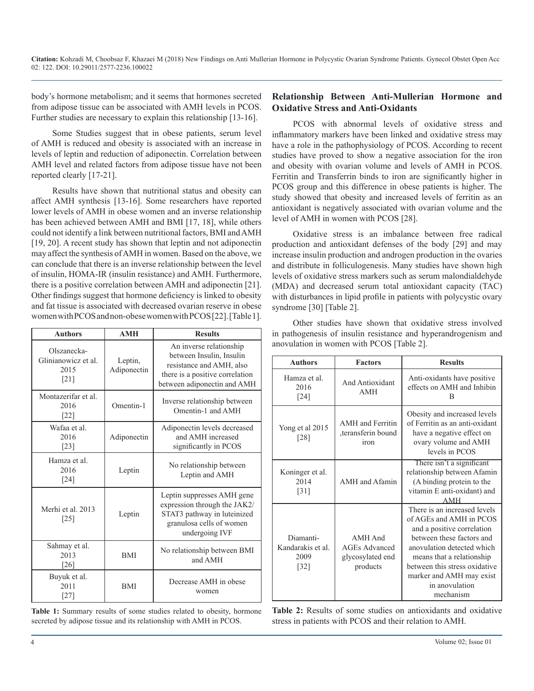body's hormone metabolism; and it seems that hormones secreted from adipose tissue can be associated with AMH levels in PCOS. Further studies are necessary to explain this relationship [13-16].

Some Studies suggest that in obese patients, serum level of AMH is reduced and obesity is associated with an increase in levels of leptin and reduction of adiponectin. Correlation between AMH level and related factors from adipose tissue have not been reported clearly [17-21].

Results have shown that nutritional status and obesity can affect AMH synthesis [13-16]. Some researchers have reported lower levels of AMH in obese women and an inverse relationship has been achieved between AMH and BMI [17, 18], while others could not identify a link between nutritional factors, BMI and AMH [19, 20]. A recent study has shown that leptin and not adiponectin may affect the synthesis of AMH in women. Based on the above, we can conclude that there is an inverse relationship between the level of insulin, HOMA-IR (insulin resistance) and AMH. Furthermore, there is a positive correlation between AMH and adiponectin [21]. Other findings suggest that hormone deficiency is linked to obesity and fat tissue is associated with decreased ovarian reserve in obese women with PCOS and non-obese women with PCOS [22]. [Table 1].

| <b>Authors</b>                                                   | <b>AMH</b>             | <b>Results</b>                                                                                                                                    |
|------------------------------------------------------------------|------------------------|---------------------------------------------------------------------------------------------------------------------------------------------------|
| Olszanecka-<br>Glinianowicz et al.<br>2015<br>$\lceil 21 \rceil$ | Leptin,<br>Adiponectin | An inverse relationship<br>between Insulin, Insulin<br>resistance and AMH, also<br>there is a positive correlation<br>between adiponectin and AMH |
| Montazerifar et al.<br>2016<br>$[22]$                            | Omentin-1              | Inverse relationship between<br>Omentin-1 and AMH                                                                                                 |
| Wafaa et al.<br>2016<br>[23]                                     | Adiponectin            | Adiponectin levels decreased<br>and AMH increased<br>significantly in PCOS                                                                        |
| Hamza et al.<br>2016<br>[24]                                     | Leptin                 | No relationship between<br>Leptin and AMH                                                                                                         |
| Merhi et al. 2013<br>$[25]$                                      | Leptin                 | Leptin suppresses AMH gene<br>expression through the JAK2/<br>STAT3 pathway in luteinized<br>granulosa cells of women<br>undergoing IVF           |
| Sahmay et al.<br>2013<br>[26]                                    | <b>BMI</b>             | No relationship between BMI<br>and AMH                                                                                                            |
| Buyuk et al.<br>2011<br>$[27]$                                   | <b>BMI</b>             | Decrease AMH in obese<br>women                                                                                                                    |

**Table 1:** Summary results of some studies related to obesity, hormone secreted by adipose tissue and its relationship with AMH in PCOS.

### **Relationship Between Anti-Mullerian Hormone and Oxidative Stress and Anti-Oxidants**

PCOS with abnormal levels of oxidative stress and inflammatory markers have been linked and oxidative stress may have a role in the pathophysiology of PCOS. According to recent studies have proved to show a negative association for the iron and obesity with ovarian volume and levels of AMH in PCOS. Ferritin and Transferrin binds to iron are significantly higher in PCOS group and this difference in obese patients is higher. The study showed that obesity and increased levels of ferritin as an antioxidant is negatively associated with ovarian volume and the level of AMH in women with PCOS [28].

Oxidative stress is an imbalance between free radical production and antioxidant defenses of the body [29] and may increase insulin production and androgen production in the ovaries and distribute in folliculogenesis. Many studies have shown high levels of oxidative stress markers such as serum malondialdehyde (MDA) and decreased serum total antioxidant capacity (TAC) with disturbances in lipid profile in patients with polycystic ovary syndrome [30] [Table 2].

Other studies have shown that oxidative stress involved in pathogenesis of insulin resistance and hyperandrogenism and anovulation in women with PCOS [Table 2].

| <b>Authors</b>                                   | <b>Factors</b>                                                  | <b>Results</b>                                                                                                                                                                                                                                                            |
|--------------------------------------------------|-----------------------------------------------------------------|---------------------------------------------------------------------------------------------------------------------------------------------------------------------------------------------------------------------------------------------------------------------------|
| Hamza et al.<br>2016<br>[24]                     | And Antioxidant<br><b>AMH</b>                                   | Anti-oxidants have positive<br>effects on AMH and Inhibin<br>в                                                                                                                                                                                                            |
| Yong et al 2015<br>[28]                          | <b>AMH</b> and Ferritin<br>,teransferin bound<br>iron           | Obesity and increased levels<br>of Ferritin as an anti-oxidant<br>have a negative effect on<br>ovary volume and AMH<br>levels in PCOS                                                                                                                                     |
| Koninger et al.<br>2014<br>$\lceil 31 \rceil$    | AMH and Afamin                                                  | There isn't a significant<br>relationship between Afamin<br>(A binding protein to the<br>vitamin E anti-oxidant) and<br>AMH                                                                                                                                               |
| Diamanti-<br>Kandarakis et al.<br>2009<br>$[32]$ | AMH And<br><b>AGEs Advanced</b><br>glycosylated end<br>products | There is an increased levels<br>of AGEs and AMH in PCOS<br>and a positive correlation<br>between these factors and<br>anovulation detected which<br>means that a relationship<br>between this stress oxidative<br>marker and AMH may exist<br>in anovulation<br>mechanism |

**Table 2:** Results of some studies on antioxidants and oxidative stress in patients with PCOS and their relation to AMH.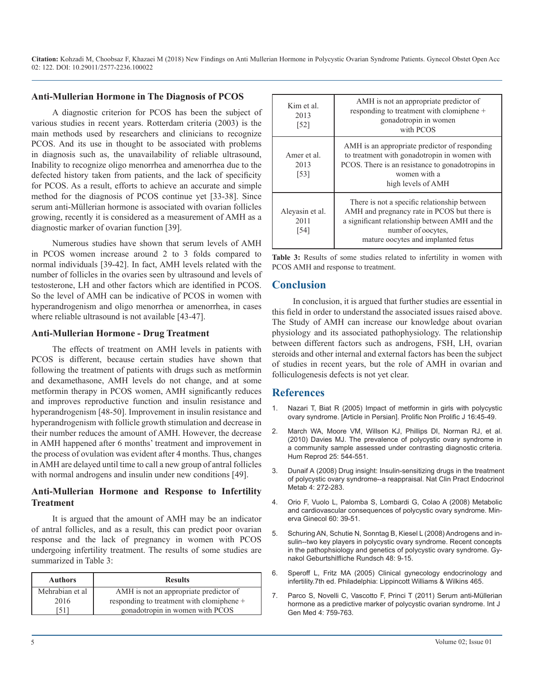#### **Anti-Mullerian Hormone in The Diagnosis of PCOS**

A diagnostic criterion for PCOS has been the subject of various studies in recent years. Rotterdam criteria (2003) is the main methods used by researchers and clinicians to recognize PCOS. And its use in thought to be associated with problems in diagnosis such as, the unavailability of reliable ultrasound, Inability to recognize oligo menorrhea and amenorrhea due to the defected history taken from patients, and the lack of specificity for PCOS. As a result, efforts to achieve an accurate and simple method for the diagnosis of PCOS continue yet [33-38]. Since serum anti-Müllerian hormone is associated with ovarian follicles growing, recently it is considered as a measurement of AMH as a diagnostic marker of ovarian function [39].

Numerous studies have shown that serum levels of AMH in PCOS women increase around 2 to 3 folds compared to normal individuals [39-42]. In fact, AMH levels related with the number of follicles in the ovaries seen by ultrasound and levels of testosterone, LH and other factors which are identified in PCOS. So the level of AMH can be indicative of PCOS in women with hyperandrogenism and oligo menorrhea or amenorrhea, in cases where reliable ultrasound is not available [43-47].

#### **Anti-Mullerian Hormone - Drug Treatment**

The effects of treatment on AMH levels in patients with PCOS is different, because certain studies have shown that following the treatment of patients with drugs such as metformin and dexamethasone, AMH levels do not change, and at some metformin therapy in PCOS women, AMH significantly reduces and improves reproductive function and insulin resistance and hyperandrogenism [48-50]. Improvement in insulin resistance and hyperandrogenism with follicle growth stimulation and decrease in their number reduces the amount of AMH. However, the decrease in AMH happened after 6 months' treatment and improvement in the process of ovulation was evident after 4 months. Thus, changes in AMH are delayed until time to call a new group of antral follicles with normal androgens and insulin under new conditions [49].

#### **Anti-Mullerian Hormone and Response to Infertility Treatment**

It is argued that the amount of AMH may be an indicator of antral follicles, and as a result, this can predict poor ovarian [response and the lack of pregnancy in women with PCOS](https://www.ncbi.nlm.nih.gov/pubmed/18209494)  undergoing infertility treatment. The results of some studies are summarized in Table 3:

| <b>Authors</b>  | <b>Results</b>                            |
|-----------------|-------------------------------------------|
| Mehrabian et al | AMH is not an appropriate predictor of    |
| 2016            | responding to treatment with clomiphene + |
| -511            | gonadotropin in women with PCOS           |

| Kim et al.<br>2013<br>$\lceil 52 \rceil$  | AMH is not an appropriate predictor of<br>responding to treatment with clomiphene +<br>gonadotropin in women<br>with PCOS                                                                                 |
|-------------------------------------------|-----------------------------------------------------------------------------------------------------------------------------------------------------------------------------------------------------------|
| Amer et al.<br>2013<br>$\lceil 53 \rceil$ | AMH is an appropriate predictor of responding<br>to treatment with gonadotropin in women with<br>PCOS. There is an resistance to gonadotropins in<br>women with a<br>high levels of AMH                   |
| Aleyasin et al.<br>2011<br>[54]           | There is not a specific relationship between<br>AMH and pregnancy rate in PCOS but there is<br>a significant relationship between AMH and the<br>number of oocytes,<br>mature oocytes and implanted fetus |

**Table 3:** Results of some studies related to infertility in women with PCOS AMH and response to treatment.

#### **Conclusion**

In conclusion, it is argued that further studies are essential in this field in order to understand the associated issues raised above. The Study of AMH can increase our knowledge about ovarian physiology and its associated pathophysiology. The relationship between different factors such as androgens, FSH, LH, ovarian steroids and other internal and external factors has been the subject of studies in recent years, but the role of AMH in ovarian and folliculogenesis defects is not yet clear.

#### **References**

- 1. Nazari T, Biat R (2005) Impact of metformin in girls with polycystic ovary syndrome. [Article in Persian]. Prolific Non Prolific J 16:45-49.
- 2. [March WA, Moore VM, Willson KJ, Phillips DI, Norman RJ, et al.](https://www.ncbi.nlm.nih.gov/pubmed/19910321)  [\(2010\) Davies MJ. The prevalence of polycystic ovary syndrome in](https://www.ncbi.nlm.nih.gov/pubmed/19910321)  [a community sample assessed under contrasting diagnostic](https://www.ncbi.nlm.nih.gov/pubmed/19910321) criteria. [Hum Reprod 25: 544-551](https://www.ncbi.nlm.nih.gov/pubmed/19910321).
- 3. [Dunaif A \(2008\) Drug insight: Insulin-sensitizing drugs in the treatmen](https://www.ncbi.nlm.nih.gov/pubmed/18364705)t [of polycystic ovary syndrome--a reappraisal. Nat Clin Pract Endocrino](https://www.ncbi.nlm.nih.gov/pubmed/18364705)l [Metab 4: 272-283](https://www.ncbi.nlm.nih.gov/pubmed/18364705).
- 4. [Orio F, Vuolo L, Palomba S, Lombardi G, Colao A \(2008\) Metabolic](https://www.ncbi.nlm.nih.gov/pubmed/18277351)  [and cardiovascular consequences of polycystic ovary syndrome. Min](https://www.ncbi.nlm.nih.gov/pubmed/18277351)[erva Ginecol 60: 39-51](https://www.ncbi.nlm.nih.gov/pubmed/18277351).
- 5. [Schuring AN, Schutie N, Sonntag B, Kiesel L \(2008\) Androgens and in](https://www.ncbi.nlm.nih.gov/pubmed/18209494)sulin--two key players in polycystic ovary syndrome. Recent concepts [in the pathophsiology and genetics of polycystic ovary syndrome. Gy](https://www.ncbi.nlm.nih.gov/pubmed/18209494)[nakol Geburtshilfliche Rundsch 48: 9-15](https://www.ncbi.nlm.nih.gov/pubmed/18209494).
- 6. Speroff L, Fritz MA (2005) Clinical gynecology endocrinology and infertility.7th ed. Philadelphia: Lippincott Williams & Wilkins 465.
- 7. [Parco S, Novelli C, Vascotto F, Princi T \(2011\) Serum anti-Müllerian](https://www.ncbi.nlm.nih.gov/pubmed/22114521)  [hormone as a predictive marker of polycystic ovarian syndrome. Int J](https://www.ncbi.nlm.nih.gov/pubmed/22114521) [Gen Med 4: 759-763](https://www.ncbi.nlm.nih.gov/pubmed/22114521).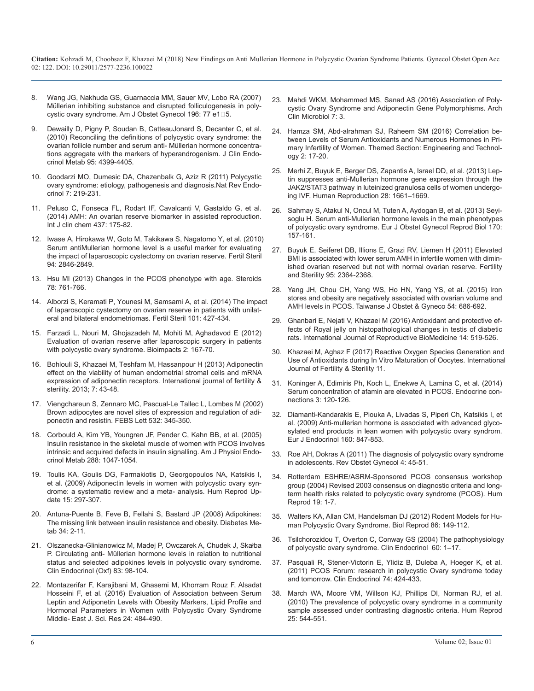- 8. [Wang JG, Nakhuda GS, Guarnaccia MM, Sauer MV, Lobo RA \(2007\)](https://www.ncbi.nlm.nih.gov/pubmed/17240243)  Müllerian inhibiting substance and disrupted folliculogenesis in polycystic ovary syndrome. Am J Obstet Gynecol 196: 77 e1<sup>1</sup>5.
- 9. [Dewailly D, Pigny P, Soudan B, CatteauJonard S, Decanter C, et al.](https://www.ncbi.nlm.nih.gov/pubmed/20610596)  (2010) Reconciling the definitions of polycystic ovary syndrome: the [ovarian follicle number and serum anti- Müllerian hormone concentra](https://www.ncbi.nlm.nih.gov/pubmed/20610596)[tions aggregate with the markers of hyperandrogenism. J Clin Endo](https://www.ncbi.nlm.nih.gov/pubmed/20610596)[crinol Metab 95: 4399-4405](https://www.ncbi.nlm.nih.gov/pubmed/20610596).
- 10. [Goodarzi MO, Dumesic DA, Chazenbalk G, Aziz R \(2011\) Polycystic](https://www.ncbi.nlm.nih.gov/pubmed/21263450) ovary syndrome: etiology, pathogenesis and diagnosis.Nat Rev Endo[crinol 7: 219-231](https://www.ncbi.nlm.nih.gov/pubmed/21263450).
- 11. [Peluso C, Fonseca FL, Rodart IF, Cavalcanti V, Gastaldo G, et al.](https://www.ncbi.nlm.nih.gov/pubmed/25086280)  (2014) AMH: An ovarian reserve biomarker in assisted reproduction. [Int J clin chem 437:](https://www.ncbi.nlm.nih.gov/pubmed/25086280) 175-82.
- 12. [Iwase A, Hirokawa W, Goto M, Takikawa S, Nagatomo Y, et al. \(2010\)](https://www.ncbi.nlm.nih.gov/pubmed/20630505)  Serum antiMullerian hormone level is a useful marker for evaluating [the impact of laparoscopic cystectomy on ovarian reserve. Fertil Steril](https://www.ncbi.nlm.nih.gov/pubmed/20630505)  94: [2846-2849](https://www.ncbi.nlm.nih.gov/pubmed/20630505).
- 13. [Hsu MI \(2013\) Changes in the PCOS phenotype with age. Steroids](https://www.ncbi.nlm.nih.gov/pubmed/23624031)  78: 761-766.
- 14. [Alborzi S, Keramati P, Younesi M, Samsami A, et al. \(2014\) The impa](https://www.ncbi.nlm.nih.gov/pubmed/24269044)ct of laparoscopic cystectomy on ovarian reserve in patients with unilat[eral and bilateral endometriomas. Fertil Steril 101:](https://www.ncbi.nlm.nih.gov/pubmed/24269044) 427-434.
- 15. [Farzadi L, Nouri M, Ghojazadeh M, Mohiti M, Aghadavod E \(2012\)](https://www.ncbi.nlm.nih.gov/pmc/articles/PMC3648929/)  Evaluation of ovarian reserve after laparoscopic surgery in patients [with polycystic ovary syndrome. Bioimpacts 2: 167-70](https://www.ncbi.nlm.nih.gov/pmc/articles/PMC3648929/).
- 16. [Bohlouli S, Khazaei M, Teshfam M, Hassanpour H \(2013\) Adiponectin](https://www.ncbi.nlm.nih.gov/pmc/articles/PMC3850333/)  effect on the viability of human endometrial stromal cells and mRNA [expression of adiponectin receptors. International journal of fertility &](https://www.ncbi.nlm.nih.gov/pmc/articles/PMC3850333/) [sterility. 2013; 7: 43-48](https://www.ncbi.nlm.nih.gov/pmc/articles/PMC3850333/).
- 17. [Viengchareun S, Zennaro MC, Pascual-Le Tallec L, Lombes M \(2002\)](https://www.ncbi.nlm.nih.gov/pubmed/12482590)  Brown adipocytes are novel sites of expression and regulation of adi[ponectin and resistin. FEBS Lett 532: 345-350](https://www.ncbi.nlm.nih.gov/pubmed/12482590).
- 18. [Corbould A, Kim YB, Youngren JF, Pender C, Kahn BB, et al. \(2005\)](https://www.ncbi.nlm.nih.gov/pubmed/15613682)  Insulin resistance in the skeletal muscle of women with PCOS involves [intrinsic and acquired defects in insulin signalling. Am J Physiol Endo](https://www.ncbi.nlm.nih.gov/pubmed/15613682)[crinol Metab 288: 1047-1054](https://www.ncbi.nlm.nih.gov/pubmed/15613682).
- 19. [Toulis KA, Goulis DG, Farmakiotis D, Georgopoulos NA, Katsikis](https://www.ncbi.nlm.nih.gov/pubmed/19261627) I, et al. (2009) [Adiponectin levels in women with polycystic ovary syn](https://www.ncbi.nlm.nih.gov/pubmed/19261627)[drome: a systematic review and a meta- analysis. Hum Reprod Up](https://www.ncbi.nlm.nih.gov/pubmed/19261627)[date 15: 297-307](https://www.ncbi.nlm.nih.gov/pubmed/19261627).
- 20. [Antuna-Puente B, Feve B, Fellahi S, Bastard JP \(2008\) Adipokines:](https://www.ncbi.nlm.nih.gov/pubmed/18093861)  The missing link between insulin resistance and obesity. Diabetes Me[tab 34: 2-11](https://www.ncbi.nlm.nih.gov/pubmed/18093861).
- 21. Olszanecka-Glinianowicz M, Madej P, Owczarek A, Chudek J, Skałba P. Circulating anti- Müllerian hormone levels in relation to nutritional status and selected adipokines levels in polycystic ovary syndrome. [Clin Endocrinol \(Oxf\)](http://www.ncbi.nlm.nih.gov/pubmed/25440474) 83: 98-104.
- 22. [Montazerifar F, Karajibani M, Ghasemi M, Khorram Rouz F, Alsadat](https://www.researchgate.net/profile/Ghasemi_Marzieh/publication/303110786_Evaluation_of_Association_between_Serum_Leptin_and_Adiponetin_Levels_with_Obesity_Markers_Lipid_Profile_and_Hormonal_Parameters_in_Women_with_Polycystic_Ovary_Syndrome/links/57376c6508aea45ee83db34d/Evaluation-of-Association-between-Serum-Leptin-and-Adiponetin-Levels-with-Obesity-Markers-Lipid-Profile-and-Hormonal-Parameters-in-Women-with-Polycystic-Ovary-Syndrome.pdf)  Hosseini F, et al. (2016) Evaluation of Association between Serum [Leptin and Adiponetin Levels with Obesity Markers, Lipid Profile and](https://www.researchgate.net/profile/Ghasemi_Marzieh/publication/303110786_Evaluation_of_Association_between_Serum_Leptin_and_Adiponetin_Levels_with_Obesity_Markers_Lipid_Profile_and_Hormonal_Parameters_in_Women_with_Polycystic_Ovary_Syndrome/links/57376c6508aea45ee83db34d/Evaluation-of-Association-between-Serum-Leptin-and-Adiponetin-Levels-with-Obesity-Markers-Lipid-Profile-and-Hormonal-Parameters-in-Women-with-Polycystic-Ovary-Syndrome.pdf)  [Hormonal Parameters in Women with Polycystic Ovary Syndrome](https://www.researchgate.net/profile/Ghasemi_Marzieh/publication/303110786_Evaluation_of_Association_between_Serum_Leptin_and_Adiponetin_Levels_with_Obesity_Markers_Lipid_Profile_and_Hormonal_Parameters_in_Women_with_Polycystic_Ovary_Syndrome/links/57376c6508aea45ee83db34d/Evaluation-of-Association-between-Serum-Leptin-and-Adiponetin-Levels-with-Obesity-Markers-Lipid-Profile-and-Hormonal-Parameters-in-Women-with-Polycystic-Ovary-Syndrome.pdf)  [Middle- East J. Sci. Res 24:](https://www.researchgate.net/profile/Ghasemi_Marzieh/publication/303110786_Evaluation_of_Association_between_Serum_Leptin_and_Adiponetin_Levels_with_Obesity_Markers_Lipid_Profile_and_Hormonal_Parameters_in_Women_with_Polycystic_Ovary_Syndrome/links/57376c6508aea45ee83db34d/Evaluation-of-Association-between-Serum-Leptin-and-Adiponetin-Levels-with-Obesity-Markers-Lipid-Profile-and-Hormonal-Parameters-in-Women-with-Polycystic-Ovary-Syndrome.pdf) 484-490.
- 23. [Mahdi WKM, Mohammed MS, Sanad AS \(2016\) Association of Poly](http://www.acmicrob.com/microbiology/association-of-polycystic-ovary-syndrome-and-adiponectin-gene-polymorphisms.php?aid=9301)[cystic Ovary Syndrome and Adiponectin Gene Polymorphisms. Arch](https://www.ncbi.nlm.nih.gov/pubmed/17240243) [Clin Microbiol 7: 3](http://www.acmicrob.com/microbiology/association-of-polycystic-ovary-syndrome-and-adiponectin-gene-polymorphisms.php?aid=9301).
- 24. [Hamza SM, Abd-alrahman SJ, Raheem SM \(2016\) Correlation be](http://www.academia.edu/26670424/Correlation_between_Levels_of_Serum_Antioxidants_and_Numerous_Hormones_In_Primary_Infertility_of_Women)[tween Levels of Serum Antioxidants and Numerous Hormones in Pri](https://www.ncbi.nlm.nih.gov/pubmed/20610596)[mary Infertility of Women. Themed Section: Engineering and Technol](http://www.academia.edu/26670424/Correlation_between_Levels_of_Serum_Antioxidants_and_Numerous_Hormones_In_Primary_Infertility_of_Women)[ogy 2:](http://www.academia.edu/26670424/Correlation_between_Levels_of_Serum_Antioxidants_and_Numerous_Hormones_In_Primary_Infertility_of_Women) 17-20.
- 25. [Merhi Z, Buyuk E, Berger DS, Zapantis A, Israel DD, et al. \(2013\) Lep](https://www.ncbi.nlm.nih.gov/pubmed/23503941)tin suppresses anti-Mullerian hormone gene expression through the [JAK2/STAT3 pathway in luteinized granulosa cells of women undergo](https://www.ncbi.nlm.nih.gov/pubmed/23503941)[ing IVF. Human Reproduction 28: 1661–1669](https://www.ncbi.nlm.nih.gov/pubmed/23503941).
- 26. [Sahmay S, Atakul N, Oncul M, Tuten A, Aydogan B, et al. \(2013\) Seyi](https://www.ncbi.nlm.nih.gov/pubmed/23806449)[soglu H. Serum anti-Mullerian hormone levels in the main phenotypes](https://www.ncbi.nlm.nih.gov/pubmed/25086280) [of polycystic ovary syndrome. Eur J Obstet Gynecol Reprod Biol 170:](https://www.ncbi.nlm.nih.gov/pubmed/23806449) [157-161](https://www.ncbi.nlm.nih.gov/pubmed/23806449).
- 27. [Buyuk E, Seiferet DB, Illions E, Grazi RV, Liemen H \(2011\) Elevated](https://www.ncbi.nlm.nih.gov/pubmed/21529798) BMI is associated with lower serum AMH in infertile women with dimin[ished ovarian reserved but not with normal ovarian reserve. Fertility](https://www.ncbi.nlm.nih.gov/pubmed/21529798)  [and Sterility 95: 2364-2368](https://www.ncbi.nlm.nih.gov/pubmed/21529798).
- 28. [Yang JH, Chou CH, Yang WS, Ho HN, Yang YS, et al. \(2015\) Iron](https://www.ncbi.nlm.nih.gov/pubmed/26700986) stores and obesity are negatively associated with ovarian volume and [AMH levels in PCOS. Taiwanse J Obstet & Gyneco 54:](https://www.ncbi.nlm.nih.gov/pubmed/26700986) 686-692.
- 29. [Ghanbari E, Nejati V, Khazaei M \(2016\) Antioxidant and protective ef](https://www.ncbi.nlm.nih.gov/pmc/articles/PMC5015666/)fects of Royal jelly on histopathological changes in testis of diabetic [rats. International Journal of Reproductive BioMedicine 14:](https://www.ncbi.nlm.nih.gov/pmc/articles/PMC5015666/) 519-526.
- 30. [Khazaei M, Aghaz F \(2017\) Reactive Oxygen Species Generation and](https://www.ncbi.nlm.nih.gov/pmc/articles/PMC5347452/) Use of Antioxidants during In Vitro Maturation of Oocytes. Internation[al](https://www.ncbi.nlm.nih.gov/pmc/articles/PMC5347452/)  [Journal of Fertility & Sterility 11](https://www.ncbi.nlm.nih.gov/pmc/articles/PMC5347452/).
- 31. [Koninger A, Edimiris Ph, Koch L, Enekwe A, Lamina C, et al. \(2014\)](https://www.ncbi.nlm.nih.gov/pubmed/24928911)  Serum concentration of afamin are elevated in PCOS. Endocrine connections [3: 120-126](https://www.ncbi.nlm.nih.gov/pubmed/24928911).
- 32. [Diamanti-Kandarakis E, Piouka A, Livadas S, Piperi Ch, Katsikis I, et](https://www.ncbi.nlm.nih.gov/pubmed/19208775) al. (2009) Anti-mullerian hormone is associated with advanced glyco[sylated end products in lean women with polycystic ovary syndrom.](https://www.ncbi.nlm.nih.gov/pubmed/19208775) [Eur J Endocrinol 160: 847-853](https://www.ncbi.nlm.nih.gov/pubmed/19208775).
- 33. [Roe AH, Dokras A \(2011\) The diagnosis of polycystic ovary syndrome](https://www.ncbi.nlm.nih.gov/pmc/articles/PMC3218544/)  in adolescents. Rev Obstet Gynecol 4: 45-51.
- 34. [Rotterdam ESHRE/ASRM-Sponsored PCOS consensus workshop](https://www.ncbi.nlm.nih.gov/pubmed/14711538)  group (2004) Revised 2003 consensus on diagnostic criteria and long[term health risks related to polycystic ovary syndrome \(PCOS\). Hum](https://www.ncbi.nlm.nih.gov/pubmed/14711538)  [Reprod 19: 1-7](https://www.ncbi.nlm.nih.gov/pubmed/14711538).
- 35. [Walters KA, Allan CM, Handelsman DJ \(2012\) Rodent Models for Hu](https://www.ncbi.nlm.nih.gov/pubmed/22337333)[man Polycystic Ovary Syndrome. Biol Reprod 86: 149-112](https://www.ncbi.nlm.nih.gov/pubmed/18093861)[.](https://www.ncbi.nlm.nih.gov/pubmed/22337333)
- 36. [Tsilchorozidou T, Overton C, Conway GS \(2004\) The pathophysiology](https://www.ncbi.nlm.nih.gov/pubmed/14678281)  of polycystic ovary syndrome. Clin Endocrinol 60: 1–17.
- 37. [Pasquali R, Stener-Victorin E, Ylidiz B, Duleba A, Hoeger K, et al.](https://www.ncbi.nlm.nih.gov/pubmed/21158892) (2011) PCOS Forum: research in polycystic Ovary syndrome today [and tomorrow. Clin Endocrinol 74:](https://www.ncbi.nlm.nih.gov/pubmed/21158892) 424-433.
- 38. [March WA, Moore VM, Willson KJ, Phillips DI, Norman RJ, et al.](https://www.researchgate.net/profile/Ghasemi_Marzieh/publication/303110786_Evaluation_of_Association_between_Serum_Leptin_and_Adiponetin_Levels_with_Obesity_Markers_Lipid_Profile_and_Hormonal_Parameters_in_Women_with_Polycystic_Ovary_Syndrome/links/57376c6508aea45ee83db34d/Evaluation-of-Association-between-Serum-Leptin-and-Adiponetin-Levels-with-Obesity-Markers-Lipid-Profile-and-Hormonal-Parameters-in-Women-with-Polycystic-Ovary-Syndrome.pdf)  (2010) The prevalence of polycystic ovary syndrome in a community [sample assessed under contrasting diagnostic criteria. Hum Reprod](https://www.ncbi.nlm.nih.gov/pubmed/19910321)  [25: 544-551](https://www.ncbi.nlm.nih.gov/pubmed/19910321).